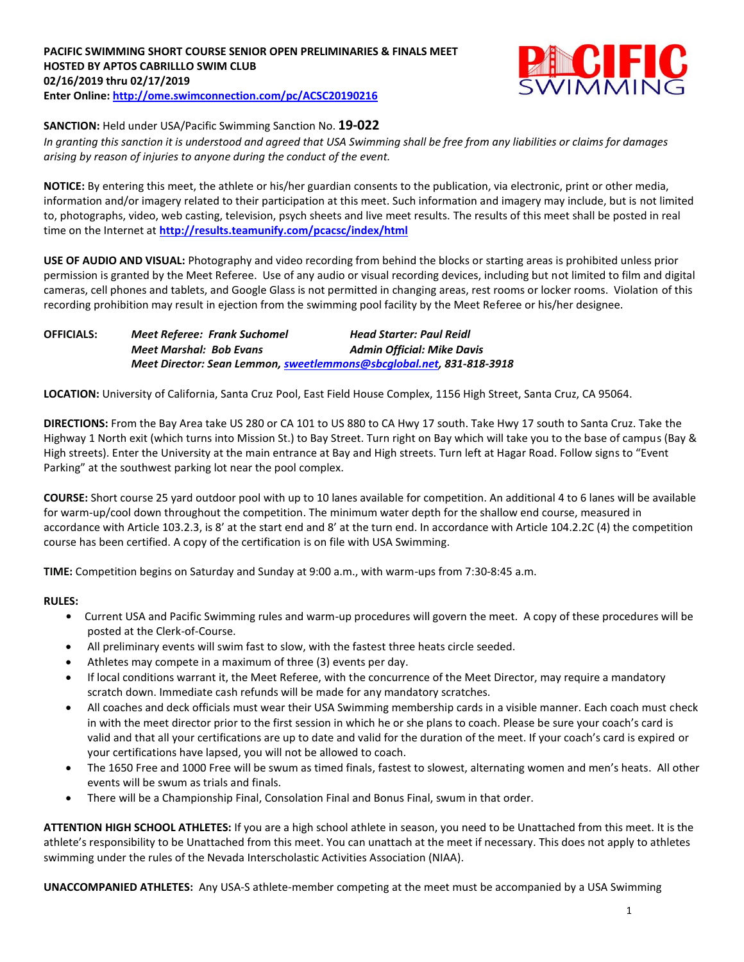

### **SANCTION:** Held under USA/Pacific Swimming Sanction No. **19-022**

*In granting this sanction it is understood and agreed that USA Swimming shall be free from any liabilities or claims for damages arising by reason of injuries to anyone during the conduct of the event.*

**NOTICE:** By entering this meet, the athlete or his/her guardian consents to the publication, via electronic, print or other media, information and/or imagery related to their participation at this meet. Such information and imagery may include, but is not limited to, photographs, video, web casting, television, psych sheets and live meet results. The results of this meet shall be posted in real time on the Internet at **<http://results.teamunify.com/pcacsc/index/html>**

**USE OF AUDIO AND VISUAL:** Photography and video recording from behind the blocks or starting areas is prohibited unless prior permission is granted by the Meet Referee. Use of any audio or visual recording devices, including but not limited to film and digital cameras, cell phones and tablets, and Google Glass is not permitted in changing areas, rest rooms or locker rooms. Violation of this recording prohibition may result in ejection from the swimming pool facility by the Meet Referee or his/her designee.

**OFFICIALS:** *Meet Referee: Frank Suchomel Head Starter: Paul Reidl Meet Marshal: Bob Evans Admin Official: Mike Davis Meet Director: Sean Lemmon, [sweetlemmons@sbcglobal.net,](mailto:sweetlemmons@sbcglobal.net) 831-818-3918*

**LOCATION:** University of California, Santa Cruz Pool, East Field House Complex, 1156 High Street, Santa Cruz, CA 95064.

**DIRECTIONS:** From the Bay Area take US 280 or CA 101 to US 880 to CA Hwy 17 south. Take Hwy 17 south to Santa Cruz. Take the Highway 1 North exit (which turns into Mission St.) to Bay Street. Turn right on Bay which will take you to the base of campus (Bay & High streets). Enter the University at the main entrance at Bay and High streets. Turn left at Hagar Road. Follow signs to "Event Parking" at the southwest parking lot near the pool complex.

**COURSE:** Short course 25 yard outdoor pool with up to 10 lanes available for competition. An additional 4 to 6 lanes will be available for warm-up/cool down throughout the competition. The minimum water depth for the shallow end course, measured in accordance with Article 103.2.3, is 8' at the start end and 8' at the turn end. In accordance with Article 104.2.2C (4) the competition course has been certified. A copy of the certification is on file with USA Swimming.

**TIME:** Competition begins on Saturday and Sunday at 9:00 a.m., with warm-ups from 7:30-8:45 a.m.

#### **RULES:**

- **•** Current USA and Pacific Swimming rules and warm-up procedures will govern the meet. A copy of these procedures will be posted at the Clerk-of-Course.
- All preliminary events will swim fast to slow, with the fastest three heats circle seeded.
- Athletes may compete in a maximum of three (3) events per day.
- If local conditions warrant it, the Meet Referee, with the concurrence of the Meet Director, may require a mandatory scratch down. Immediate cash refunds will be made for any mandatory scratches.
- All coaches and deck officials must wear their USA Swimming membership cards in a visible manner. Each coach must check in with the meet director prior to the first session in which he or she plans to coach. Please be sure your coach's card is valid and that all your certifications are up to date and valid for the duration of the meet. If your coach's card is expired or your certifications have lapsed, you will not be allowed to coach.
- The 1650 Free and 1000 Free will be swum as timed finals, fastest to slowest, alternating women and men's heats. All other events will be swum as trials and finals.
- There will be a Championship Final, Consolation Final and Bonus Final, swum in that order.

**ATTENTION HIGH SCHOOL ATHLETES:** If you are a high school athlete in season, you need to be Unattached from this meet. It is the athlete's responsibility to be Unattached from this meet. You can unattach at the meet if necessary. This does not apply to athletes swimming under the rules of the Nevada Interscholastic Activities Association (NIAA).

**UNACCOMPANIED ATHLETES:** Any USA-S athlete-member competing at the meet must be accompanied by a USA Swimming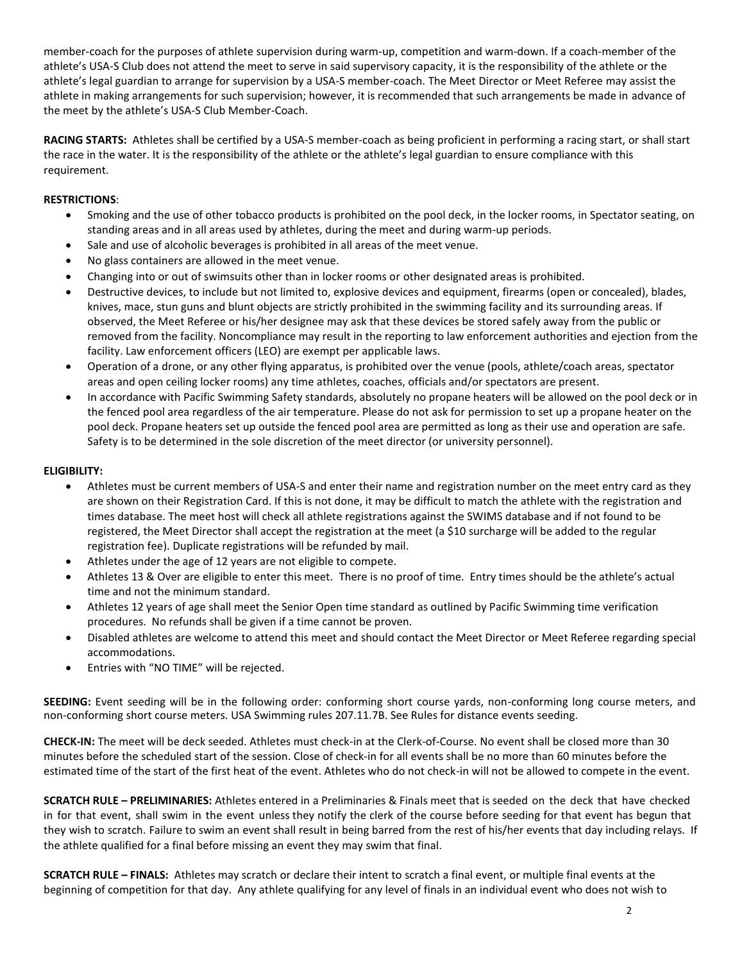member-coach for the purposes of athlete supervision during warm-up, competition and warm-down. If a coach-member of the athlete's USA-S Club does not attend the meet to serve in said supervisory capacity, it is the responsibility of the athlete or the athlete's legal guardian to arrange for supervision by a USA-S member-coach. The Meet Director or Meet Referee may assist the athlete in making arrangements for such supervision; however, it is recommended that such arrangements be made in advance of the meet by the athlete's USA-S Club Member-Coach.

**RACING STARTS:** Athletes shall be certified by a USA-S member-coach as being proficient in performing a racing start, or shall start the race in the water. It is the responsibility of the athlete or the athlete's legal guardian to ensure compliance with this requirement.

## **RESTRICTIONS**:

- Smoking and the use of other tobacco products is prohibited on the pool deck, in the locker rooms, in Spectator seating, on standing areas and in all areas used by athletes, during the meet and during warm-up periods.
- Sale and use of alcoholic beverages is prohibited in all areas of the meet venue.
- No glass containers are allowed in the meet venue.
- Changing into or out of swimsuits other than in locker rooms or other designated areas is prohibited.
- Destructive devices, to include but not limited to, explosive devices and equipment, firearms (open or concealed), blades, knives, mace, stun guns and blunt objects are strictly prohibited in the swimming facility and its surrounding areas. If observed, the Meet Referee or his/her designee may ask that these devices be stored safely away from the public or removed from the facility. Noncompliance may result in the reporting to law enforcement authorities and ejection from the facility. Law enforcement officers (LEO) are exempt per applicable laws.
- Operation of a drone, or any other flying apparatus, is prohibited over the venue (pools, athlete/coach areas, spectator areas and open ceiling locker rooms) any time athletes, coaches, officials and/or spectators are present.
- In accordance with Pacific Swimming Safety standards, absolutely no propane heaters will be allowed on the pool deck or in the fenced pool area regardless of the air temperature. Please do not ask for permission to set up a propane heater on the pool deck. Propane heaters set up outside the fenced pool area are permitted as long as their use and operation are safe. Safety is to be determined in the sole discretion of the meet director (or university personnel).

## **ELIGIBILITY:**

- Athletes must be current members of USA-S and enter their name and registration number on the meet entry card as they are shown on their Registration Card. If this is not done, it may be difficult to match the athlete with the registration and times database. The meet host will check all athlete registrations against the SWIMS database and if not found to be registered, the Meet Director shall accept the registration at the meet (a \$10 surcharge will be added to the regular registration fee). Duplicate registrations will be refunded by mail.
- Athletes under the age of 12 years are not eligible to compete.
- Athletes 13 & Over are eligible to enter this meet. There is no proof of time. Entry times should be the athlete's actual time and not the minimum standard.
- Athletes 12 years of age shall meet the Senior Open time standard as outlined by Pacific Swimming time verification procedures. No refunds shall be given if a time cannot be proven.
- Disabled athletes are welcome to attend this meet and should contact the Meet Director or Meet Referee regarding special accommodations.
- Entries with "NO TIME" will be rejected.

**SEEDING:** Event seeding will be in the following order: conforming short course yards, non-conforming long course meters, and non-conforming short course meters. USA Swimming rules 207.11.7B. See Rules for distance events seeding.

**CHECK-IN:** The meet will be deck seeded. Athletes must check-in at the Clerk-of-Course. No event shall be closed more than 30 minutes before the scheduled start of the session. Close of check‐in for all events shall be no more than 60 minutes before the estimated time of the start of the first heat of the event. Athletes who do not check-in will not be allowed to compete in the event.

**SCRATCH RULE – PRELIMINARIES:** Athletes entered in a Preliminaries & Finals meet that is seeded on the deck that have checked in for that event, shall swim in the event unless they notify the clerk of the course before seeding for that event has begun that they wish to scratch. Failure to swim an event shall result in being barred from the rest of his/her events that day including relays. If the athlete qualified for a final before missing an event they may swim that final.

**SCRATCH RULE – FINALS:** Athletes may scratch or declare their intent to scratch a final event, or multiple final events at the beginning of competition for that day.Any athlete qualifying for any level of finals in an individual event who does not wish to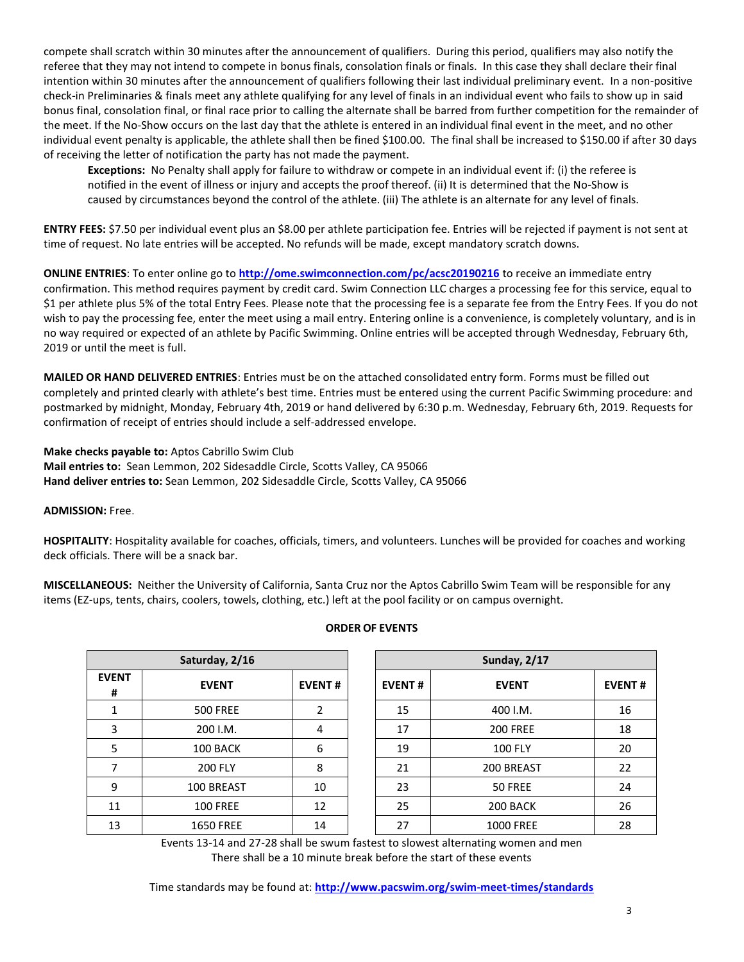compete shall scratch within 30 minutes after the announcement of qualifiers. During this period, qualifiers may also notify the referee that they may not intend to compete in bonus finals, consolation finals or finals. In this case they shall declare their final intention within 30 minutes after the announcement of qualifiers following their last individual preliminary event. In a non-positive check-in Preliminaries & finals meet any athlete qualifying for any level of finals in an individual event who fails to show up in said bonus final, consolation final, or final race prior to calling the alternate shall be barred from further competition for the remainder of the meet. If the No-Show occurs on the last day that the athlete is entered in an individual final event in the meet, and no other individual event penalty is applicable, the athlete shall then be fined \$100.00. The final shall be increased to \$150.00 if after 30 days of receiving the letter of notification the party has not made the payment.

 **Exceptions:** No Penalty shall apply for failure to withdraw or compete in an individual event if: (i) the referee is notified in the event of illness or injury and accepts the proof thereof. (ii) It is determined that the No-Show is caused by circumstances beyond the control of the athlete. (iii) The athlete is an alternate for any level of finals.

**ENTRY FEES:** \$7.50 per individual event plus an \$8.00 per athlete participation fee. Entries will be rejected if payment is not sent at time of request. No late entries will be accepted. No refunds will be made, except mandatory scratch downs.

**ONLINE ENTRIES**: To enter online go to **<http://ome.swimconnection.com/pc/acsc20190216>** to receive an immediate entry confirmation. This method requires payment by credit card. Swim Connection LLC charges a processing fee for this service, equal to \$1 per athlete plus 5% of the total Entry Fees. Please note that the processing fee is a separate fee from the Entry Fees. If you do not wish to pay the processing fee, enter the meet using a mail entry. Entering online is a convenience, is completely voluntary, and is in no way required or expected of an athlete by Pacific Swimming. Online entries will be accepted through Wednesday, February 6th, 2019 or until the meet is full.

**MAILED OR HAND DELIVERED ENTRIES**: Entries must be on the attached consolidated entry form. Forms must be filled out completely and printed clearly with athlete's best time. Entries must be entered using the current Pacific Swimming procedure: and postmarked by midnight, Monday, February 4th, 2019 or hand delivered by 6:30 p.m. Wednesday, February 6th, 2019. Requests for confirmation of receipt of entries should include a self-addressed envelope.

**Make checks payable to:** Aptos Cabrillo Swim Club **Mail entries to:** Sean Lemmon, 202 Sidesaddle Circle, Scotts Valley, CA 95066 **Hand deliver entries to:** Sean Lemmon, 202 Sidesaddle Circle, Scotts Valley, CA 95066

**ADMISSION:** Free.

**HOSPITALITY**: Hospitality available for coaches, officials, timers, and volunteers. Lunches will be provided for coaches and working deck officials. There will be a snack bar.

**MISCELLANEOUS:** Neither the University of California, Santa Cruz nor the Aptos Cabrillo Swim Team will be responsible for any items (EZ-ups, tents, chairs, coolers, towels, clothing, etc.) left at the pool facility or on campus overnight.

| Saturday, 2/16    |                  |               |  | Sunday, 2/17  |                  |               |  |  |
|-------------------|------------------|---------------|--|---------------|------------------|---------------|--|--|
| <b>EVENT</b><br># | <b>EVENT</b>     | <b>EVENT#</b> |  | <b>EVENT#</b> | <b>EVENT</b>     | <b>EVENT#</b> |  |  |
| ᆚ                 | <b>500 FREE</b>  | 2             |  | 15            | 400 I.M.         | 16            |  |  |
| 3                 | 200 I.M.         | 4             |  | 17            | <b>200 FREE</b>  | 18            |  |  |
| 5                 | 100 BACK         | 6             |  | 19            | <b>100 FLY</b>   | 20            |  |  |
|                   | <b>200 FLY</b>   | 8             |  | 21            | 200 BREAST       | 22            |  |  |
| 9                 | 100 BREAST       | 10            |  | 23            | 50 FREE          | 24            |  |  |
| 11                | <b>100 FREE</b>  | 12            |  | 25            | 200 BACK         | 26            |  |  |
| 13                | <b>1650 FREE</b> | 14            |  | 27            | <b>1000 FREE</b> | 28            |  |  |

# **ORDER OF EVENTS**

Events 13-14 and 27-28 shall be swum fastest to slowest alternating women and men There shall be a 10 minute break before the start of these events

Time standards may be found at: **<http://www.pacswim.org/swim-meet-times/standards>**